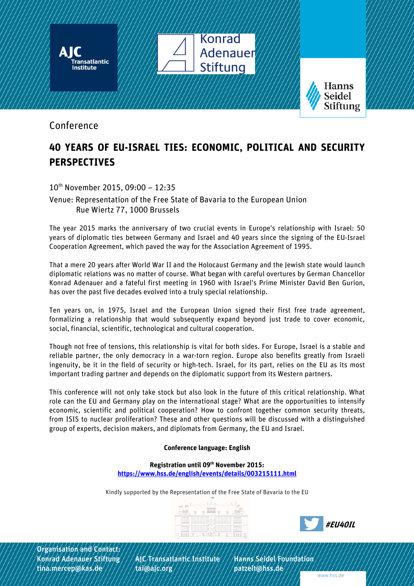

## Conference

## **40 YEARS OF EU-ISRAEL TIES: ECONOMIC, POLITICAL AND SECURITY PERSPECTIVES**

10th November 2015, 09:00 – 12:35

Venue: Representation of the Free State of Bavaria to the European Union Rue Wiertz 77, 1000 Brussels

The year 2015 marks the anniversary of two crucial events in Europe's relationship with Israel: 50 years of diplomatic ties between Germany and Israel and 40 years since the signing of the EU-Israel Cooperation Agreement, which paved the way for the Association Agreement of 1995.

That a mere 20 years after World War II and the Holocaust Germany and the Jewish state would launch diplomatic relations was no matter of course. What began with careful overtures by German Chancellor Konrad Adenauer and a fateful first meeting in 1960 with Israel's Prime Minister David Ben Gurion, has over the past five decades evolved into a truly special relationship.

Ten years on, in 1975, Israel and the European Union signed their first free trade agreement, formalizing a relationship that would subsequently expand beyond just trade to cover economic, social, financial, scientific, technological and cultural cooperation.

Though not free of tensions, this relationship is vital for both sides. For Europe, Israel is a stable and reliable partner, the only democracy in a war-torn region. Europe also benefits greatly from Israeli ingenuity, be it in the field of security or high-tech. Israel, for its part, relies on the EU as its most important trading partner and depends on the diplomatic support from its Western partners.

This conference will not only take stock but also look in the future of this critical relationship. What role can the EU and Germany play on the international stage? What are the opportunities to intensify economic, scientific and political cooperation? How to confront together common security threats, from ISIS to nuclear proliferation? These and other questions will be discussed with a distinguished group of experts, decision makers, and diplomats from Germany, the EU and Israel.

## **Conference language: English**

**Registration until 09th November 2015: https://www.hss.de/english/events/details/003215111.html** 

Kindly supported by the Representation of the Free State of Bavaria to the EU





Organisation and Contact:

Konrad Adenauer Stiftung ///AJC/Transatlantic Institute ///Hanns Seidel Foundation tina.mercep@kas.de ///////tai@ajc.org /////////////patzelt@hss.de/